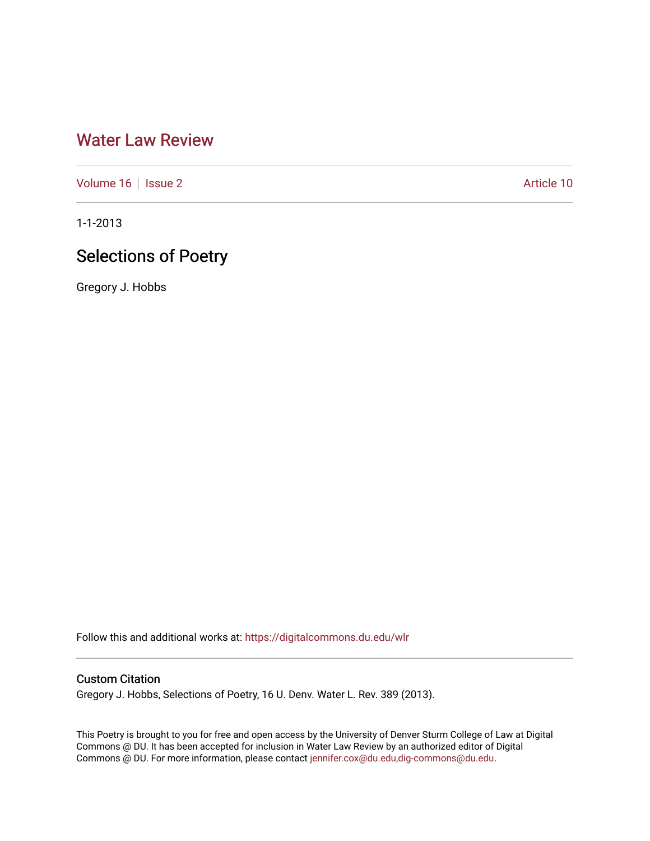# [Water Law Review](https://digitalcommons.du.edu/wlr)

[Volume 16](https://digitalcommons.du.edu/wlr/vol16) | [Issue 2](https://digitalcommons.du.edu/wlr/vol16/iss2) Article 10

1-1-2013

# Selections of Poetry

Gregory J. Hobbs

Follow this and additional works at: [https://digitalcommons.du.edu/wlr](https://digitalcommons.du.edu/wlr?utm_source=digitalcommons.du.edu%2Fwlr%2Fvol16%2Fiss2%2F10&utm_medium=PDF&utm_campaign=PDFCoverPages) 

## Custom Citation

Gregory J. Hobbs, Selections of Poetry, 16 U. Denv. Water L. Rev. 389 (2013).

This Poetry is brought to you for free and open access by the University of Denver Sturm College of Law at Digital Commons @ DU. It has been accepted for inclusion in Water Law Review by an authorized editor of Digital Commons @ DU. For more information, please contact [jennifer.cox@du.edu,dig-commons@du.edu.](mailto:jennifer.cox@du.edu,dig-commons@du.edu)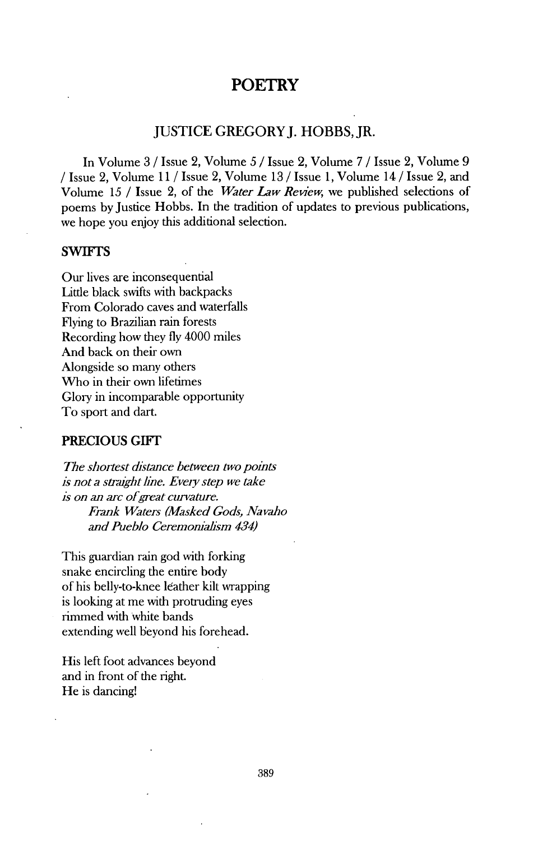## **POETRY**

## **JUSTICE** GREGORYJ. HOBBS, JR.

In Volume **3 /** Issue 2, Volume *5* **/** Issue 2, Volume **7 /** Issue 2, Volume **9 /** Issue 2, Volume **11 /** Issue 2, Volume **13 /** Issue **1,** Volume 14 **/** Issue 2, and Volume **15 /** Issue 2, of the *Water Law Rewiew,* we published selections of poems by Justice Hobbs. In the tradition of updates to previous publications, we hope you enjoy this additional selection.

### SWIFTS

Our lives are inconsequential Little black swifts with backpacks From Colorado caves and waterfalls Flying to Brazilian rain forests Recording how they **fly** 4000 miles And back on their own Alongside so many others Who in their own lifetimes Glory in incomparable opportunity To sport and dart.

### **PRECIOUS** GIFT

*The shortest distance between two points is not a straight line. Every step we take is on an arc ofgreat curvature. Frank Waters (Masked Gods, Navaho and Pueblo Ceremoniahsm 434)*

This guardian rain god with forking snake encircling the entire body of his belly-to-knee leather kilt wrapping is looking at me with protruding eyes rimmed with white bands extending well beyond his forehead.

His left foot advances beyond and in front of the right. He is dancing!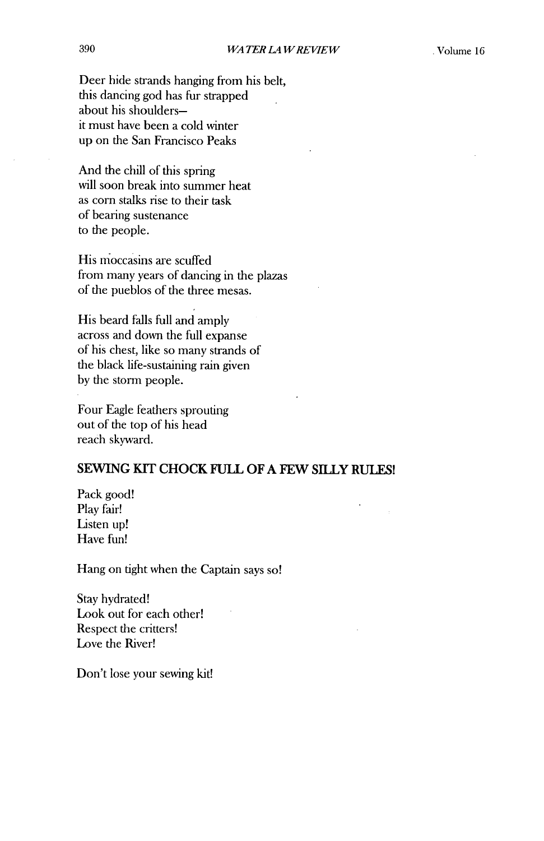Deer hide strands hanging from his belt, this dancing god has fur strapped about his shouldersit must have been a cold winter up on the San Francisco Peaks

And the chill of this spring will soon break into summer heat as corn stalks rise to their task of bearing sustenance to the people.

His moccasins are scuffed from many years of dancing in the plazas of the pueblos of the three mesas.

His beard falls full and amply across and down the full expanse of his chest, like so many strands of the black life-sustaining rain given **by** the storm people.

Four Eagle feathers sprouting out of the top of his head reach skyward.

## **SEWING KIT CHOCK FULL OF A FEW SILLY RULES!**

Pack good! Play fair! Listen up! Have fun!

Hang on tight when the Captain says so!

Stay hydrated! Look out for each other! Respect the critters! Love the River!

Don't lose your sewing kit!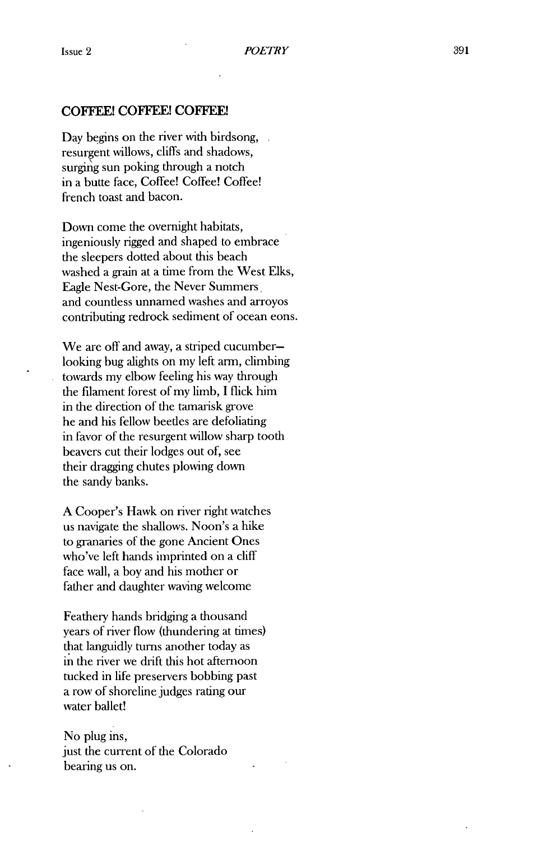### **COFFEE! COFFEE! COFFEE!**

Day begins on the river with birdsong, resurgent willows, cliffs and shadows, surging sun poking through a notch in a butte face, Coffee! Coffee! Coffee! french toast and bacon.

Down come the overnight habitats, ingeniously rigged and shaped to embrace the sleepers dotted about this beach washed a grain at a time from the West Elks, Eagle Nest-Gore, the Never Summers and countless unnamed washes and arroyos contributing redrock sediment of ocean eons.

We are off and away, a striped cucumberlooking bug alights on my left arm, climbing towards my elbow feeling his way through the filament forest of my limb, **I** flick him in the direction of the tamarisk grove he and his fellow beetles are defoliating in favor of the resurgent willow sharp tooth beavers cut their lodges out of, see their dragging chutes plowing down the sandy banks.

**A** Cooper's Hawk on river right watches us navigate the shallows. Noon's a hike to granaries of the gone Ancient Ones who've left hands imprinted on a cliff face wall, a boy and his mother or father and daughter waving welcome

Feathery hands bridging a thousand years of river flow (thundering at times) that languidly turns another today as in the river we drift this hot afternoon tucked in life preservers bobbing past a row of shoreline judges rating our water ballet!

### No plug ins, just the current of the Colorado

bearing us on.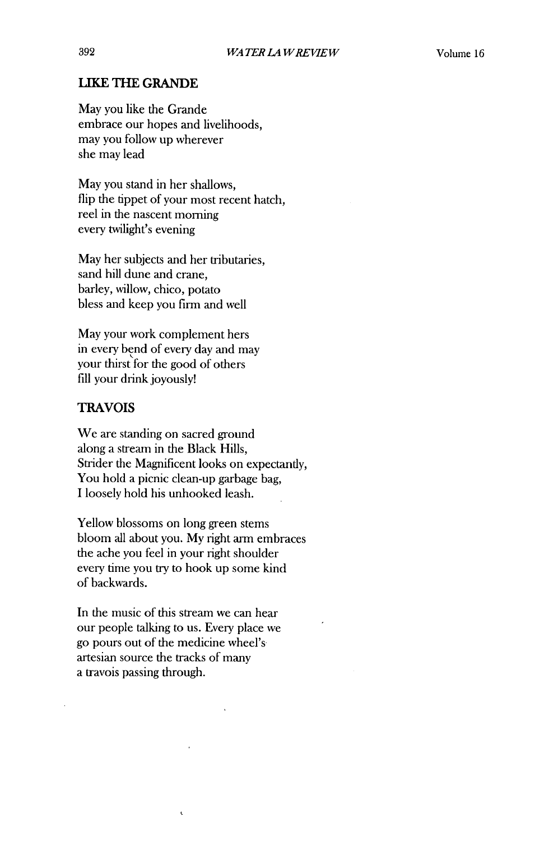## **LIKE THE GRANDE**

May you like the Grande embrace our hopes and livelihoods, may you follow up wherever she may lead

May you stand in her shallows, flip the tippet of your most recent hatch, reel in the nascent morning every twilight's evening

May her subjects and her tributaries, sand hill dune and crane, barley, willow, chico, potato bless and keep you firm and well

May your work complement hers in every bend of every day and may your thirst for the good of others **fill** your drink joyously!

### TRAVOIS

We are standing on sacred ground along a stream in the Black Hills, Strider the Magnificent looks on expectantly, You hold a picnic clean-up garbage bag, **I** loosely hold his unhooked leash.

Yellow blossoms on long green stems bloom all about you. **My** right arm embraces the ache you **feel** in your right shoulder every time you try to hook up some kind of backwards.

In the music of this stream we can hear our people talking to us. Every place we go pours out of the medicine wheel's artesian source the tracks of many a travois passing through.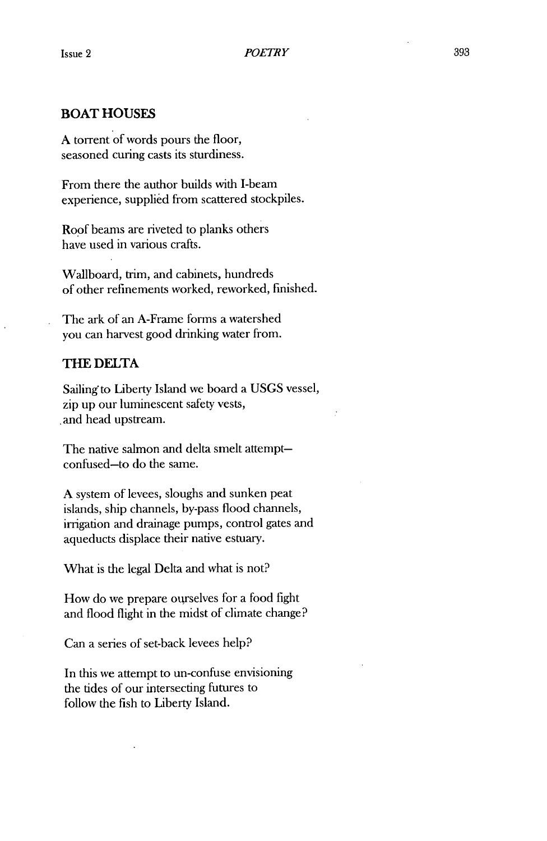## **BOAT HOUSES**

**A** torrent of words pours the floor, seasoned curing casts its sturdiness.

From there the author builds with I-beam experience, supplied from scattered stockpiles.

Roof beams are riveted to planks others have used in various crafts.

Wallboard, trim, and cabinets, hundreds of other refinements worked, reworked, finished.

The ark of an A-Frame forms a watershed you can harvest good drinking water from.

### **THE DELTA**

Sailing to Liberty Island we board a **USGS** vessel, zip up our luminescent safety vests, ,and head upstream.

The native salmon and delta smelt attemptconfused-to do the same.

**A** system of levees, sloughs and sunken peat islands, ship channels, by-pass flood channels, irrigation and drainage pumps, control gates and aqueducts displace their native estuary.

What is the legal Delta and what is not?

How do we prepare ourselves for a food fight and flood flight in the midst of climate change?

Can a series of set-back levees help?

In this we attempt to un-confuse envisioning the tides of our intersecting futures to follow the fish to Liberty Island.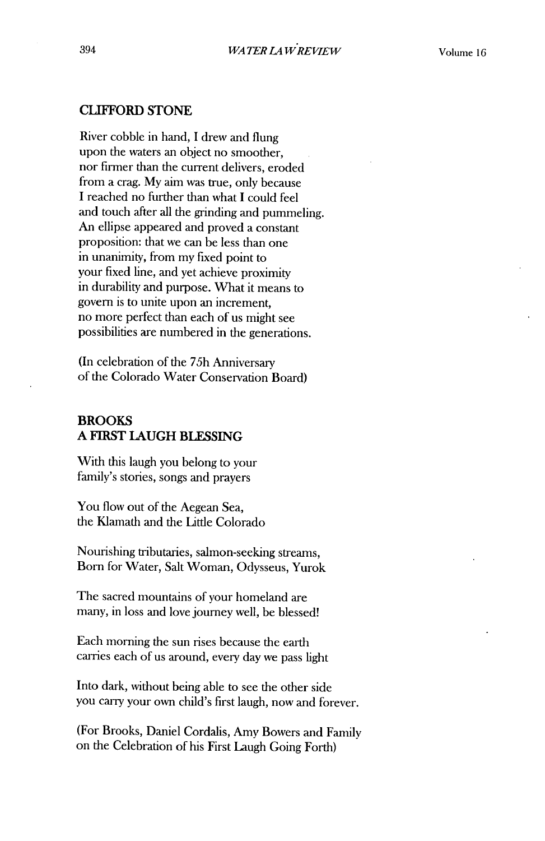### **CLIFFORD STONE**

River cobble in hand, I drew and flung upon the waters an object no smoother, nor firmer than the current delivers, eroded from a crag. **My** aim was true, only because **I** reached no further than what **I** could feel and touch after all the grinding and pummeling. An ellipse appeared and proved a constant proposition: that we can be less than one in unanimity, from my fixed point to your fixed line, and yet achieve proximity in durability and purpose. What it means to govern is to unite upon an increment, no more perfect than each of us might see possibilities are numbered in the generations.

(In celebration of the *75h* Anniversary of the Colorado Water Conservation Board)

## **BROOKS A FIRST LAUGH BLESSING**

With this laugh you belong to your family's stories, songs and prayers

You flow out of the Aegean Sea, the Klamath and the Little Colorado

Nourishing tributaries, salmon-seeking streams, Born for Water, Salt Woman, Odysseus, Yurok

The sacred mountains of your homeland are many, in loss and love journey well, be blessed!

Each morning the sun rises because the earth carries each of us around, every day we pass light

Into dark, without being able to see the other side you carry your own child's first laugh, now and forever.

(For Brooks, Daniel Cordalis, Amy Bowers and Family on the Celebration of his First Laugh Going Forth)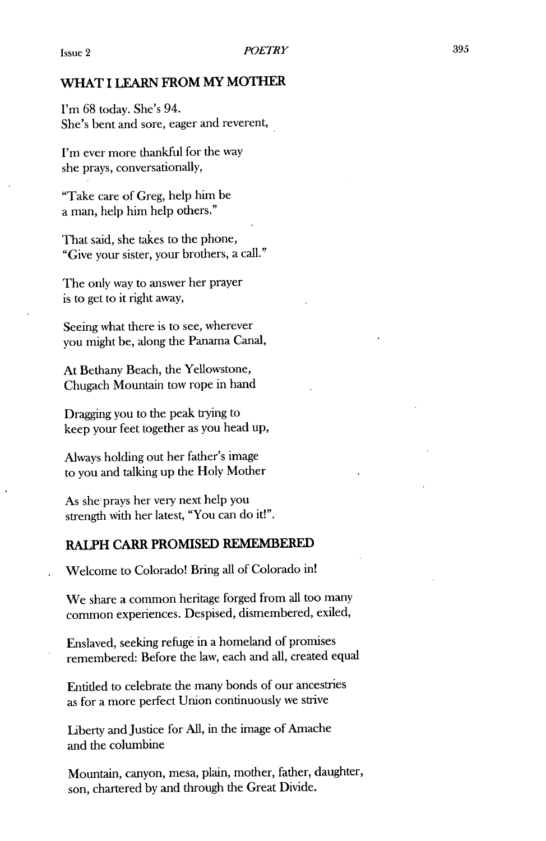### *WHAT* **I LEARN FROM MY MOTHER**

*I'm* **68** today. She's 94. She's bent and sore, eager and reverent,

I'm ever more thankful for the way she prays, conversationally,

"Take care of Greg, help him be a man, help him help others."

That said, she takes to the phone, "Give your sister, your brothers, a call."

The only way to answer her prayer is to get to it right away,

Seeing what there is to see, wherever you might be, along the Panama Canal,

At Bethany Beach, the Yellowstone, Chugach Mountain tow rope in hand

Dragging you to the peak trying to keep your feet together as you head up,

Always holding out her father's image to you and talking up the Holy Mother

As she prays her very next help you strength with her latest, "You can do it!".

## **RALPH CARR PROMISED REMEMBERED**

Welcome to Colorado! Bring all of Colorado in!

We share a common heritage forged from all too many common experiences. Despised, dismembered, exiled,

Enslaved, seeking refuge in a homeland of promises remembered: Before the law, each and all, created equal

Entitled to celebrate the many bonds of our ancestries as for a more perfect Union continuously we strive

Liberty and Justice for **All,** in the image of Amache and the columbine

Mountain, canyon, mesa, plain, mother, father, daughter, son, chartered **by** and through the Great Divide.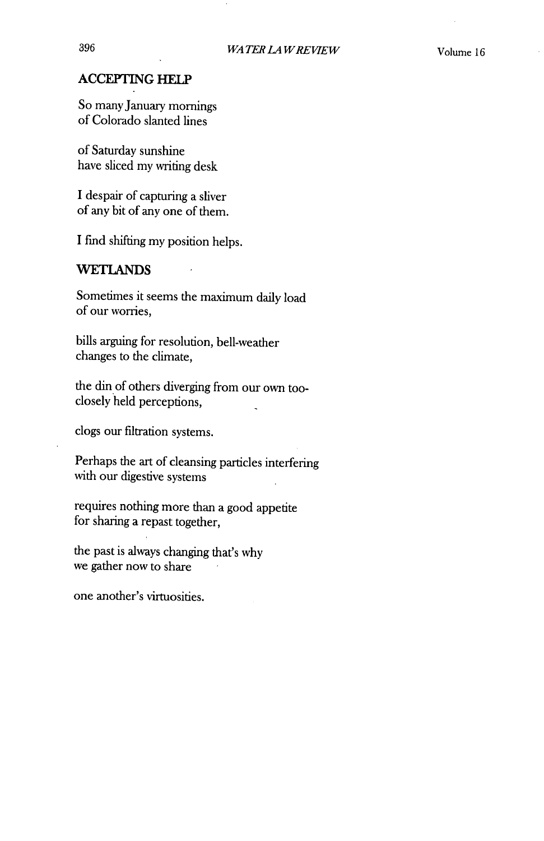## **ACCEPTING HELP**

So many January mornings of Colorado slanted lines

of Saturday sunshine have sliced my writing desk

**I** despair of capturing a sliver of any bit of any one of them.

**I** find shifting my position helps.

### **WETLANDS**

Sometimes it seems the maximum daily load of our worries,

bills arguing for resolution, bell-weather changes to the climate,

the din of others diverging from our own tooclosely held perceptions,  $\overline{a}$ 

clogs our filtration systems.

Perhaps the art of cleansing particles interfering with our digestive systems

requires nothing more than a good appetite for sharing a repast together,

the past is always changing that's why we gather now to share

one another's virtuosities.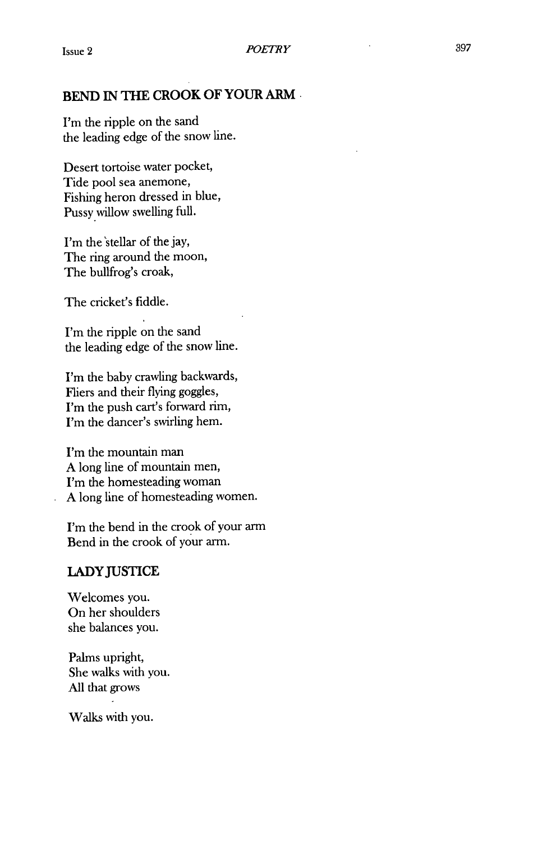## **BEND IN THE CROOK OF YOUR ARM**

I'm the ripple on the sand the leading edge of the snow line.

Desert tortoise water pocket, Tide pool sea anemone, Fishing heron dressed in blue, Pussy willow swelling full.

I'm the'stellar of the **jay,** The ring around the moon, The bullfrog's croak,

The cricket's fiddle.

I'm the ripple on the sand the leading edge of the snow line.

I'm the baby crawling backwards, Fliers and their flying goggles, I'm the push cart's forward rim, I'm the dancer's swirling hem.

I'm the mountain man **A** long line of mountain men, I'm the homesteading woman **A** long line of homesteading women.

I'm the bend in the crook of your arm Bend in the crook of your arm.

## **LADY JUSTICE**

Welcomes you. On her shoulders she balances you.

Palms upright, She walks with you. All that grows

Walks with you.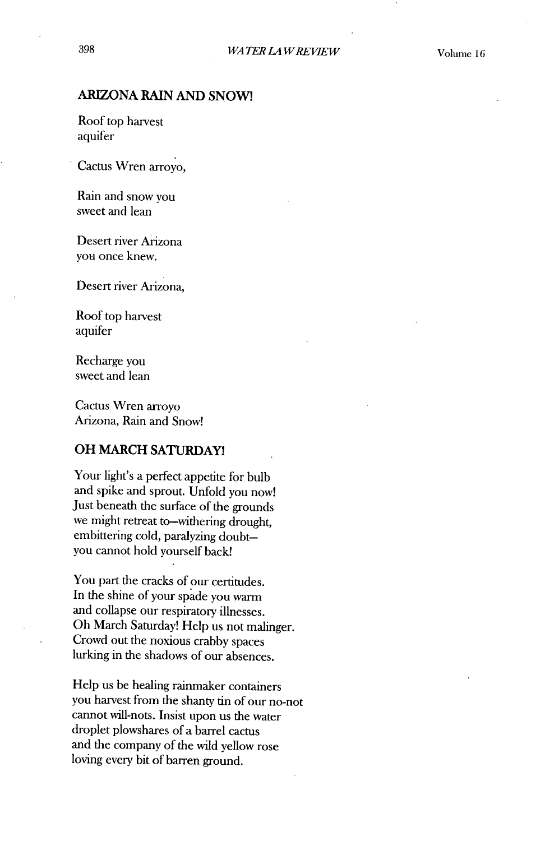## ARIZONA **RAIN AND SNOW!**

Roof top harvest aquifer

Cactus Wren arroyo,

Rain and snow you sweet and lean

Desert river Arizona you once knew.

Desert river Arizona,

Roof top harvest aquifer

Recharge you sweet and lean

Cactus Wren arroyo Arizona, Rain and Snow!

### **OH MARCH SATURDAY!**

Your light's a perfect appetite for bulb and spike and sprout. Unfold you now! Just beneath the surface of the grounds we might retreat to-withering drought, embittering cold, paralyzing doubtyou cannot hold yourself back!

You part the cracks of our certitudes. In the shine of your spade you warm and collapse our respiratory illnesses. Oh March Saturday! Help us not malinger. Crowd out the noxious crabby spaces lurking in the shadows of our absences.

Help us be healing rainmaker containers you harvest from the shanty tin of our no-not cannot will-nots. Insist upon us the water droplet plowshares of a barrel cactus and the company of the wild yellow rose loving every bit of barren ground.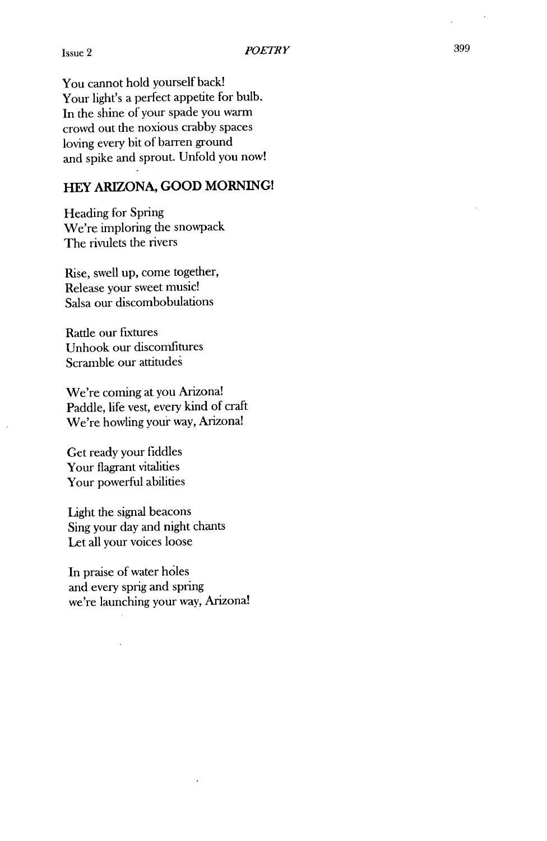You cannot hold yourself back! Your light's a perfect appetite for bulb. In the shine of your spade you warm crowd out the noxious crabby spaces loving every bit of barren ground and spike and sprout. Unfold you now!

## **HEY ARIZONA, GOOD MORNING!**

Heading for Spring We're imploring the snowpack The rivulets the rivers

Rise, swell up, come together, Release your sweet music! Salsa our discombobulations

Rattle our fixtures Unhook our discomfitures Scramble our attitudes

We're coming at you Arizona! Paddle, life vest, every kind of craft We're howling your way, Arizona!

Get ready your fiddles Your flagrant vitalities Your powerful abilities

Light the signal beacons Sing your day and night chants Let all your voices loose

In praise of water holes and every sprig and spring we're launching your way, Arizona!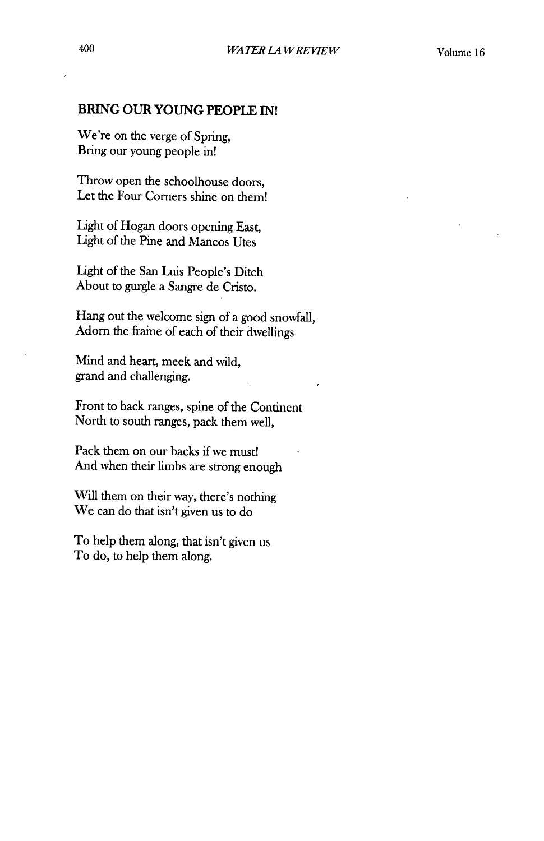## **BRING OUR YOUNG PEOPLE INI**

We're on the verge of Spring, Bring our young people in!

Throw open the schoolhouse doors, Let the Four Corners shine on them!

Light of Hogan doors opening East, Light of the Pine and Mancos Utes

Light of the San Luis People's Ditch About to gurgle a Sangre de Cristo.

Hang out the welcome sign of a good snowfall, Adorn the fraine of each of their dwellings

Mind and heart, meek and wild, grand and challenging.

Front to back ranges, spine of the Continent North to south ranges, pack them well,

Pack them on our backs if we must! And when their limbs are strong enough

Will them on their way, there's nothing We can do that isn't given us to do

To help them along, that isn't given us To do, to help them along.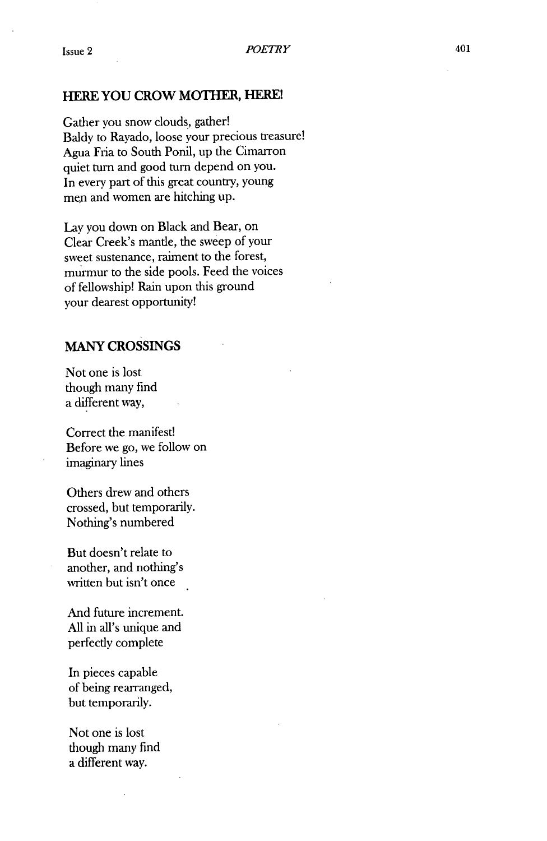### **HERE YOU CROW MOTHER, HERE!**

Gather you snow clouds, gather! Baldy to Rayado, loose your precious treasure! Agua Fria to South Ponil, up the Cimarron quiet turn and good turn depend on you. In every part of this great country, young men and women are hitching up.

Lay you down on Black and Bear, on Clear Creek's mantle, the sweep of your sweet sustenance, raiment to the forest, murmur to the side pools. Feed the voices of fellowship! Rain upon this ground your dearest opportunity!

## MANY CROSSINGS

Not one is lost though many find a different way,

Correct the manifest! Before we go, we follow on imaginary lines

Others drew and others crossed, but temporarily. Nothing's numbered

But doesn't relate to another, and nothing's written but isn't once

And future increment. All in all's unique and perfectly complete

In pieces capable of being rearranged, but temporarily.

Not one is lost though many find a different way.